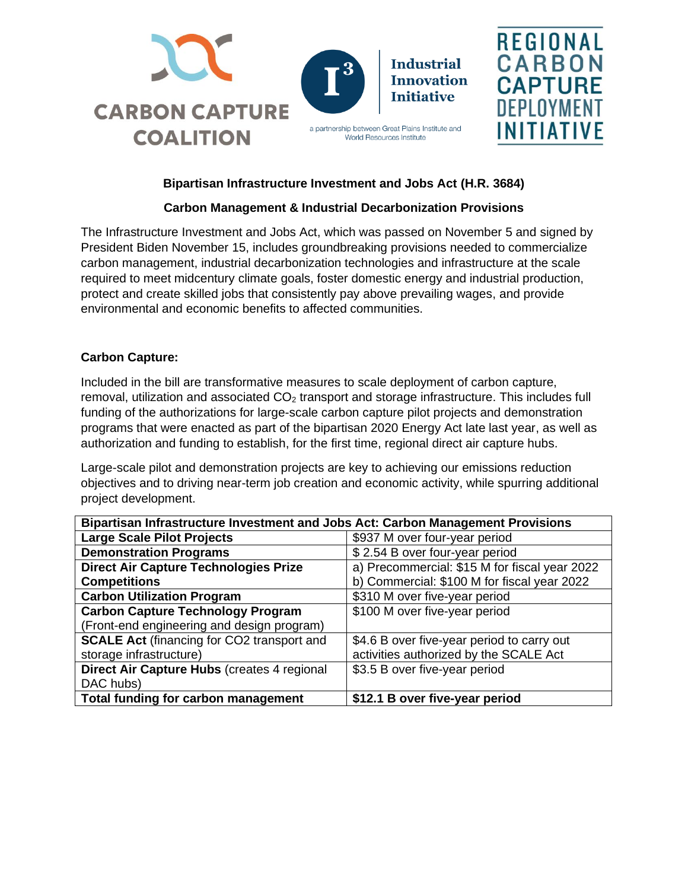







### **Bipartisan Infrastructure Investment and Jobs Act (H.R. 3684)**

# **Carbon Management & Industrial Decarbonization Provisions**

The Infrastructure Investment and Jobs Act, which was passed on November 5 and signed by President Biden November 15, includes groundbreaking provisions needed to commercialize carbon management, industrial decarbonization technologies and infrastructure at the scale required to meet midcentury climate goals, foster domestic energy and industrial production, protect and create skilled jobs that consistently pay above prevailing wages, and provide environmental and economic benefits to affected communities.

#### **Carbon Capture:**

Included in the bill are transformative measures to scale deployment of carbon capture, removal, utilization and associated  $CO<sub>2</sub>$  transport and storage infrastructure. This includes full funding of the authorizations for large-scale carbon capture pilot projects and demonstration programs that were enacted as part of the bipartisan 2020 Energy Act late last year, as well as authorization and funding to establish, for the first time, regional direct air capture hubs.

Large-scale pilot and demonstration projects are key to achieving our emissions reduction objectives and to driving near-term job creation and economic activity, while spurring additional project development.

| Bipartisan Infrastructure Investment and Jobs Act: Carbon Management Provisions |                                               |
|---------------------------------------------------------------------------------|-----------------------------------------------|
| <b>Large Scale Pilot Projects</b>                                               | \$937 M over four-year period                 |
| <b>Demonstration Programs</b>                                                   | \$2.54 B over four-year period                |
| <b>Direct Air Capture Technologies Prize</b>                                    | a) Precommercial: \$15 M for fiscal year 2022 |
| <b>Competitions</b>                                                             | b) Commercial: \$100 M for fiscal year 2022   |
| <b>Carbon Utilization Program</b>                                               | \$310 M over five-year period                 |
| <b>Carbon Capture Technology Program</b>                                        | \$100 M over five-year period                 |
| (Front-end engineering and design program)                                      |                                               |
| <b>SCALE Act (financing for CO2 transport and</b>                               | \$4.6 B over five-year period to carry out    |
| storage infrastructure)                                                         | activities authorized by the SCALE Act        |
| Direct Air Capture Hubs (creates 4 regional                                     | \$3.5 B over five-year period                 |
| DAC hubs)                                                                       |                                               |
| Total funding for carbon management                                             | \$12.1 B over five-year period                |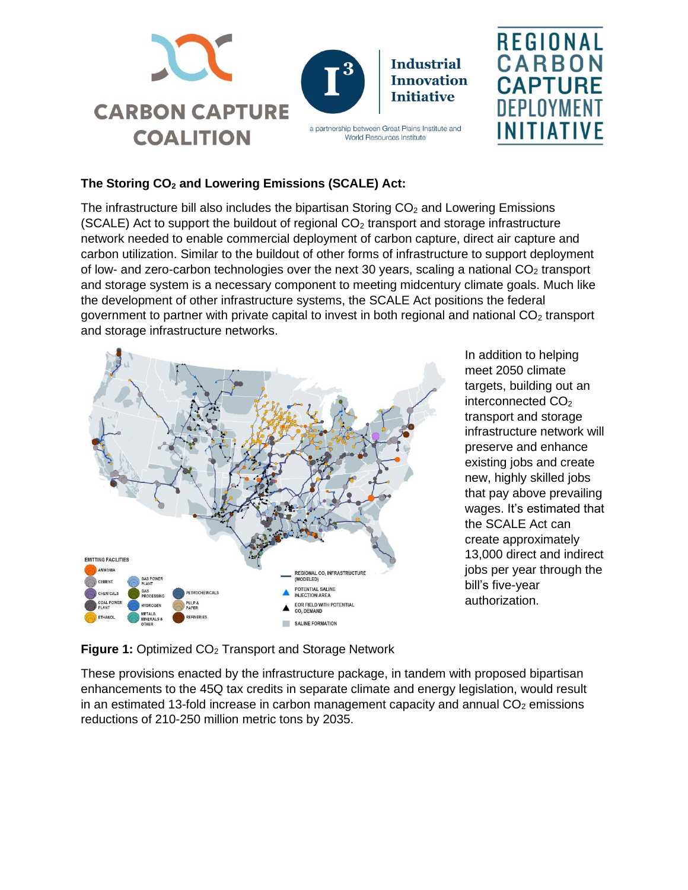



a partnership between Great Plains Institute and World Resources Institute



# **The Storing CO<sup>2</sup> and Lowering Emissions (SCALE) Act:**

The infrastructure bill also includes the bipartisan Storing  $CO<sub>2</sub>$  and Lowering Emissions (SCALE) Act to support the buildout of regional  $CO<sub>2</sub>$  transport and storage infrastructure network needed to enable commercial deployment of carbon capture, direct air capture and carbon utilization. Similar to the buildout of other forms of infrastructure to support deployment of low- and zero-carbon technologies over the next 30 years, scaling a national  $CO<sub>2</sub>$  transport and storage system is a necessary component to meeting midcentury climate goals. Much like the development of other infrastructure systems, the SCALE Act positions the federal government to partner with private capital to invest in both regional and national  $CO<sub>2</sub>$  transport and storage infrastructure networks.



In addition to helping meet 2050 climate targets, building out an interconnected CO<sub>2</sub> transport and storage infrastructure network will preserve and enhance existing jobs and create new, highly skilled jobs that pay above prevailing wages. It's estimated that the SCALE Act can create approximately 13,000 direct and indirect jobs per year through the bill's five-year authorization.

# **Figure 1: Optimized CO<sub>2</sub> Transport and Storage Network**

These provisions enacted by the infrastructure package, in tandem with proposed bipartisan enhancements to the 45Q tax credits in separate climate and energy legislation, would result in an estimated 13-fold increase in carbon management capacity and annual  $CO<sub>2</sub>$  emissions reductions of 210-250 million metric tons by 2035.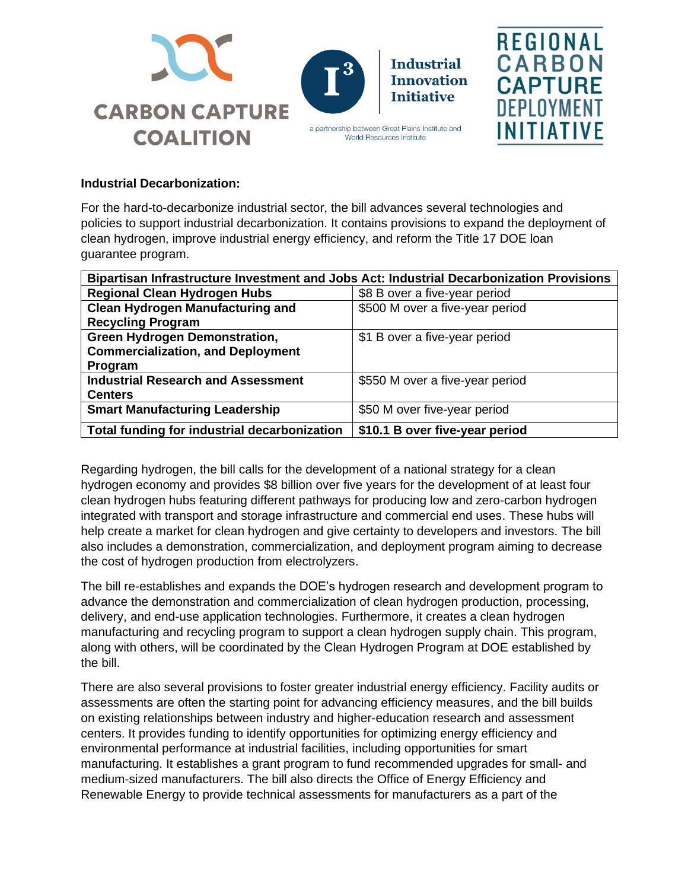







### **Industrial Decarbonization:**

For the hard-to-decarbonize industrial sector, the bill advances several technologies and policies to support industrial decarbonization. It contains provisions to expand the deployment of clean hydrogen, improve industrial energy efficiency, and reform the Title 17 DOE loan guarantee program.

| Bipartisan Infrastructure Investment and Jobs Act: Industrial Decarbonization Provisions |                                 |
|------------------------------------------------------------------------------------------|---------------------------------|
| <b>Regional Clean Hydrogen Hubs</b>                                                      | \$8 B over a five-year period   |
| <b>Clean Hydrogen Manufacturing and</b>                                                  | \$500 M over a five-year period |
| <b>Recycling Program</b>                                                                 |                                 |
| <b>Green Hydrogen Demonstration,</b>                                                     | \$1 B over a five-year period   |
| <b>Commercialization, and Deployment</b>                                                 |                                 |
| Program                                                                                  |                                 |
| <b>Industrial Research and Assessment</b>                                                | \$550 M over a five-year period |
| <b>Centers</b>                                                                           |                                 |
| <b>Smart Manufacturing Leadership</b>                                                    | \$50 M over five-year period    |
| Total funding for industrial decarbonization                                             | \$10.1 B over five-year period  |

Regarding hydrogen, the bill calls for the development of a national strategy for a clean hydrogen economy and provides \$8 billion over five years for the development of at least four clean hydrogen hubs featuring different pathways for producing low and zero-carbon hydrogen integrated with transport and storage infrastructure and commercial end uses. These hubs will help create a market for clean hydrogen and give certainty to developers and investors. The bill also includes a demonstration, commercialization, and deployment program aiming to decrease the cost of hydrogen production from electrolyzers.

The bill re-establishes and expands the DOE's hydrogen research and development program to advance the demonstration and commercialization of clean hydrogen production, processing, delivery, and end-use application technologies. Furthermore, it creates a clean hydrogen manufacturing and recycling program to support a clean hydrogen supply chain. This program, along with others, will be coordinated by the Clean Hydrogen Program at DOE established by the bill.

There are also several provisions to foster greater industrial energy efficiency. Facility audits or assessments are often the starting point for advancing efficiency measures, and the bill builds on existing relationships between industry and higher-education research and assessment centers. It provides funding to identify opportunities for optimizing energy efficiency and environmental performance at industrial facilities, including opportunities for smart manufacturing. It establishes a grant program to fund recommended upgrades for small- and medium-sized manufacturers. The bill also directs the Office of Energy Efficiency and Renewable Energy to provide technical assessments for manufacturers as a part of the